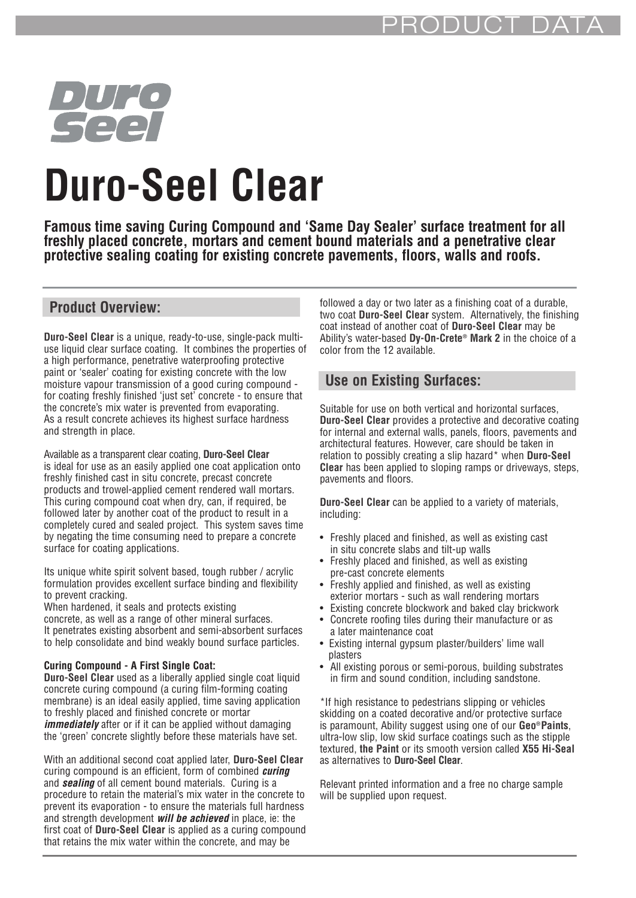

# **Duro-Seel Clear**

**Famous time saving Curing Compound and 'Same Day Sealer' surface treatment for all freshly placed concrete, mortars and cement bound materials and a penetrative clear protective sealing coating for existing concrete pavements, floors, walls and roofs.**

#### **Product Overview:**

**Duro-Seel Clear** is a unique, ready-to-use, single-pack multiuse liquid clear surface coating. It combines the properties of a high performance, penetrative waterproofing protective paint or 'sealer' coating for existing concrete with the low moisture vapour transmission of a good curing compound for coating freshly finished 'just set' concrete - to ensure that the concrete's mix water is prevented from evaporating. As a result concrete achieves its highest surface hardness and strength in place.

Available as a transparent clear coating, **Duro-Seel Clear** is ideal for use as an easily applied one coat application onto freshly finished cast in situ concrete, precast concrete products and trowel-applied cement rendered wall mortars. This curing compound coat when dry, can, if required, be followed later by another coat of the product to result in a completely cured and sealed project. This system saves time by negating the time consuming need to prepare a concrete surface for coating applications.

Its unique white spirit solvent based, tough rubber / acrylic formulation provides excellent surface binding and flexibility to prevent cracking.

When hardened, it seals and protects existing concrete, as well as a range of other mineral surfaces. It penetrates existing absorbent and semi-absorbent surfaces to help consolidate and bind weakly bound surface particles.

#### **Curing Compound - A First Single Coat:**

**Duro-Seel Clear** used as a liberally applied single coat liquid concrete curing compound (a curing film-forming coating membrane) is an ideal easily applied, time saving application to freshly placed and finished concrete or mortar **immediately** after or if it can be applied without damaging the 'green' concrete slightly before these materials have set.

With an additional second coat applied later, **Duro-Seel Clear** curing compound is an efficient, form of combined **curing** and **sealing** of all cement bound materials. Curing is a procedure to retain the material's mix water in the concrete to prevent its evaporation - to ensure the materials full hardness and strength development **will be achieved** in place, ie: the first coat of **Duro-Seel Clear** is applied as a curing compound that retains the mix water within the concrete, and may be

followed a day or two later as a finishing coat of a durable, two coat **Duro-Seel Clear** system. Alternatively, the finishing coat instead of another coat of **Duro-Seel Clear** may be Ability's water-based **Dy-On-Crete® Mark 2** in the choice of a color from the 12 available.

#### **Use on Existing Surfaces:**

Suitable for use on both vertical and horizontal surfaces, **Duro-Seel Clear** provides a protective and decorative coating for internal and external walls, panels, floors, pavements and architectural features. However, care should be taken in relation to possibly creating a slip hazard\* when **Duro-Seel Clear** has been applied to sloping ramps or driveways, steps, pavements and floors.

**Duro-Seel Clear** can be applied to a variety of materials, including:

- Freshly placed and finished, as well as existing cast in situ concrete slabs and tilt-up walls
- Freshly placed and finished, as well as existing pre-cast concrete elements
- Freshly applied and finished, as well as existing exterior mortars - such as wall rendering mortars
- Existing concrete blockwork and baked clay brickwork • Concrete roofing tiles during their manufacture or as
- a later maintenance coat • Existing internal gypsum plaster/builders' lime wall plasters
- All existing porous or semi-porous, building substrates in firm and sound condition, including sandstone.

\*If high resistance to pedestrians slipping or vehicles skidding on a coated decorative and/or protective surface is paramount, Ability suggest using one of our **Geo®Paints**, ultra-low slip, low skid surface coatings such as the stipple textured, **the Paint** or its smooth version called **X55 Hi-Seal** as alternatives to **Duro-Seel Clear**.

Relevant printed information and a free no charge sample will be supplied upon request.